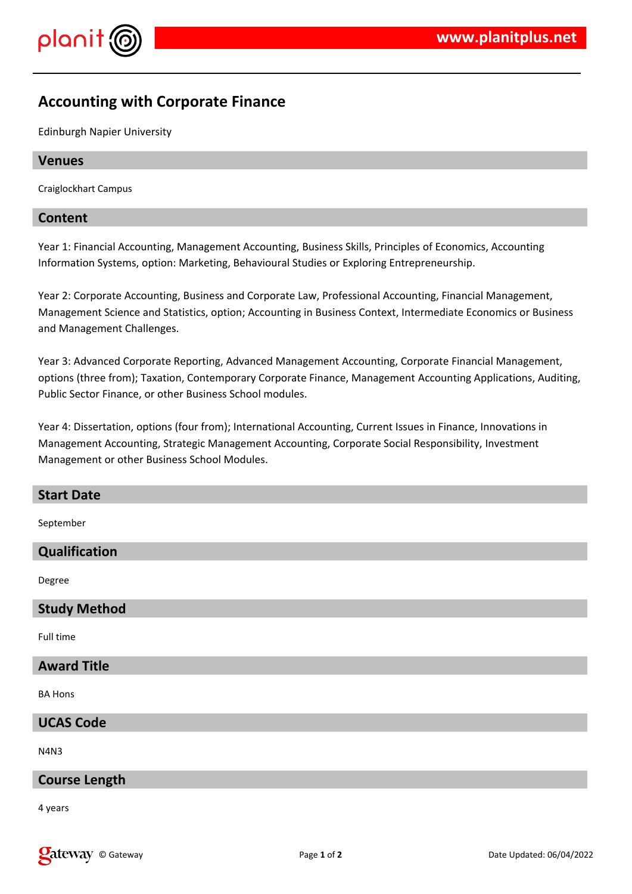



## **Accounting with Corporate Finance**

Edinburgh Napier University

#### **Venues**

Craiglockhart Campus

#### **Content**

Year 1: Financial Accounting, Management Accounting, Business Skills, Principles of Economics, Accounting Information Systems, option: Marketing, Behavioural Studies or Exploring Entrepreneurship.

Year 2: Corporate Accounting, Business and Corporate Law, Professional Accounting, Financial Management, Management Science and Statistics, option; Accounting in Business Context, Intermediate Economics or Business and Management Challenges.

Year 3: Advanced Corporate Reporting, Advanced Management Accounting, Corporate Financial Management, options (three from); Taxation, Contemporary Corporate Finance, Management Accounting Applications, Auditing, Public Sector Finance, or other Business School modules.

Year 4: Dissertation, options (four from); International Accounting, Current Issues in Finance, Innovations in Management Accounting, Strategic Management Accounting, Corporate Social Responsibility, Investment Management or other Business School Modules.

# **Start Date** September **Qualification** Degree **Study Method** Full time **Award Title** BA Hons

**UCAS Code**

N4N3

#### **Course Length**

4 years